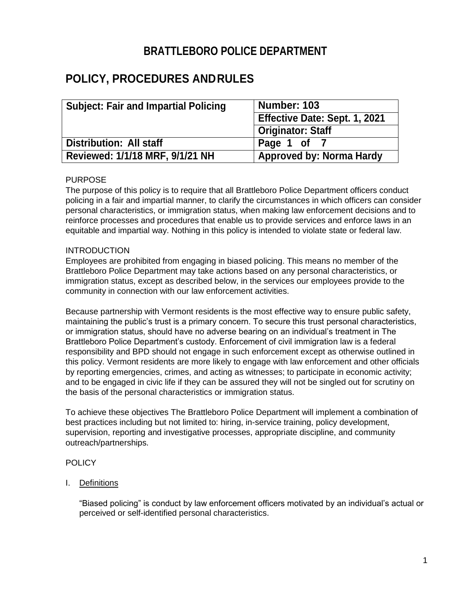## **BRATTLEBORO POLICE DEPARTMENT**

# **POLICY, PROCEDURES ANDRULES**

| <b>Subject: Fair and Impartial Policing</b> | Number: 103                     |
|---------------------------------------------|---------------------------------|
|                                             | Effective Date: Sept. 1, 2021   |
|                                             | <b>Originator: Staff</b>        |
| Distribution: All staff                     | Page 1 of                       |
| Reviewed: 1/1/18 MRF, 9/1/21 NH             | <b>Approved by: Norma Hardy</b> |

## PURPOSE

The purpose of this policy is to require that all Brattleboro Police Department officers conduct policing in a fair and impartial manner, to clarify the circumstances in which officers can consider personal characteristics, or immigration status, when making law enforcement decisions and to reinforce processes and procedures that enable us to provide services and enforce laws in an equitable and impartial way. Nothing in this policy is intended to violate state or federal law.

## INTRODUCTION

Employees are prohibited from engaging in biased policing. This means no member of the Brattleboro Police Department may take actions based on any personal characteristics, or immigration status, except as described below, in the services our employees provide to the community in connection with our law enforcement activities.

Because partnership with Vermont residents is the most effective way to ensure public safety, maintaining the public's trust is a primary concern. To secure this trust personal characteristics, or immigration status, should have no adverse bearing on an individual's treatment in The Brattleboro Police Department's custody. Enforcement of civil immigration law is a federal responsibility and BPD should not engage in such enforcement except as otherwise outlined in this policy. Vermont residents are more likely to engage with law enforcement and other officials by reporting emergencies, crimes, and acting as witnesses; to participate in economic activity; and to be engaged in civic life if they can be assured they will not be singled out for scrutiny on the basis of the personal characteristics or immigration status.

To achieve these objectives The Brattleboro Police Department will implement a combination of best practices including but not limited to: hiring, in-service training, policy development, supervision, reporting and investigative processes, appropriate discipline, and community outreach/partnerships.

## **POLICY**

I. Definitions

"Biased policing" is conduct by law enforcement officers motivated by an individual's actual or perceived or self-identified personal characteristics.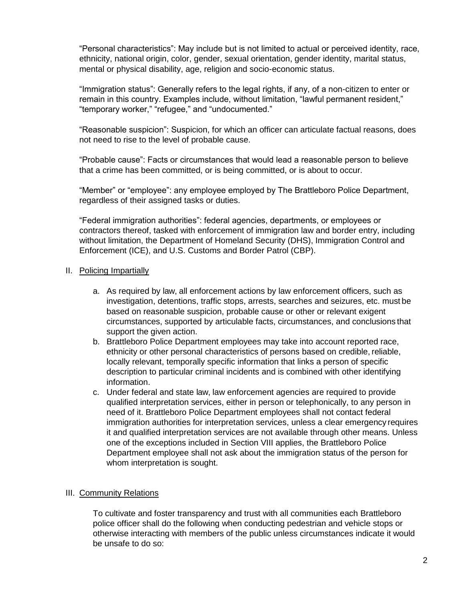"Personal characteristics": May include but is not limited to actual or perceived identity, race, ethnicity, national origin, color, gender, sexual orientation, gender identity, marital status, mental or physical disability, age, religion and socio-economic status.

"Immigration status": Generally refers to the legal rights, if any, of a non-citizen to enter or remain in this country. Examples include, without limitation, "lawful permanent resident," "temporary worker," "refugee," and "undocumented."

"Reasonable suspicion": Suspicion, for which an officer can articulate factual reasons, does not need to rise to the level of probable cause.

"Probable cause": Facts or circumstances that would lead a reasonable person to believe that a crime has been committed, or is being committed, or is about to occur.

"Member" or "employee": any employee employed by The Brattleboro Police Department, regardless of their assigned tasks or duties.

"Federal immigration authorities": federal agencies, departments, or employees or contractors thereof, tasked with enforcement of immigration law and border entry, including without limitation, the Department of Homeland Security (DHS), Immigration Control and Enforcement (ICE), and U.S. Customs and Border Patrol (CBP).

## II. Policing Impartially

- a. As required by law, all enforcement actions by law enforcement officers, such as investigation, detentions, traffic stops, arrests, searches and seizures, etc. must be based on reasonable suspicion, probable cause or other or relevant exigent circumstances, supported by articulable facts, circumstances, and conclusions that support the given action.
- b. Brattleboro Police Department employees may take into account reported race, ethnicity or other personal characteristics of persons based on credible, reliable, locally relevant, temporally specific information that links a person of specific description to particular criminal incidents and is combined with other identifying information.
- c. Under federal and state law, law enforcement agencies are required to provide qualified interpretation services, either in person or telephonically, to any person in need of it. Brattleboro Police Department employees shall not contact federal immigration authorities for interpretation services, unless a clear emergency requires it and qualified interpretation services are not available through other means. Unless one of the exceptions included in Section VIII applies, the Brattleboro Police Department employee shall not ask about the immigration status of the person for whom interpretation is sought.

## III. Community Relations

To cultivate and foster transparency and trust with all communities each Brattleboro police officer shall do the following when conducting pedestrian and vehicle stops or otherwise interacting with members of the public unless circumstances indicate it would be unsafe to do so: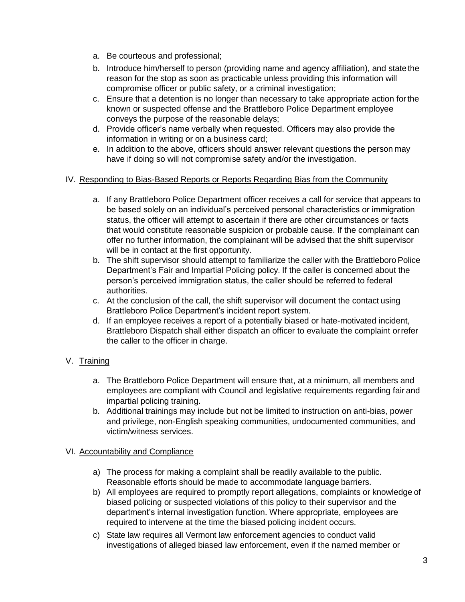- a. Be courteous and professional;
- b. Introduce him/herself to person (providing name and agency affiliation), and statethe reason for the stop as soon as practicable unless providing this information will compromise officer or public safety, or a criminal investigation;
- c. Ensure that a detention is no longer than necessary to take appropriate action forthe known or suspected offense and the Brattleboro Police Department employee conveys the purpose of the reasonable delays;
- d. Provide officer's name verbally when requested. Officers may also provide the information in writing or on a business card;
- e. In addition to the above, officers should answer relevant questions the person may have if doing so will not compromise safety and/or the investigation.

## IV. Responding to Bias-Based Reports or Reports Regarding Bias from the Community

- a. If any Brattleboro Police Department officer receives a call for service that appears to be based solely on an individual's perceived personal characteristics or immigration status, the officer will attempt to ascertain if there are other circumstances or facts that would constitute reasonable suspicion or probable cause. If the complainant can offer no further information, the complainant will be advised that the shift supervisor will be in contact at the first opportunity.
- b. The shift supervisor should attempt to familiarize the caller with the Brattleboro Police Department's Fair and Impartial Policing policy. If the caller is concerned about the person's perceived immigration status, the caller should be referred to federal authorities.
- c. At the conclusion of the call, the shift supervisor will document the contact using Brattleboro Police Department's incident report system.
- d. If an employee receives a report of a potentially biased or hate-motivated incident, Brattleboro Dispatch shall either dispatch an officer to evaluate the complaint orrefer the caller to the officer in charge.

## V. Training

- a. The Brattleboro Police Department will ensure that, at a minimum, all members and employees are compliant with Council and legislative requirements regarding fair and impartial policing training.
- b. Additional trainings may include but not be limited to instruction on anti-bias, power and privilege, non-English speaking communities, undocumented communities, and victim/witness services.

## VI. Accountability and Compliance

- a) The process for making a complaint shall be readily available to the public. Reasonable efforts should be made to accommodate language barriers.
- b) All employees are required to promptly report allegations, complaints or knowledge of biased policing or suspected violations of this policy to their supervisor and the department's internal investigation function. Where appropriate, employees are required to intervene at the time the biased policing incident occurs.
- c) State law requires all Vermont law enforcement agencies to conduct valid investigations of alleged biased law enforcement, even if the named member or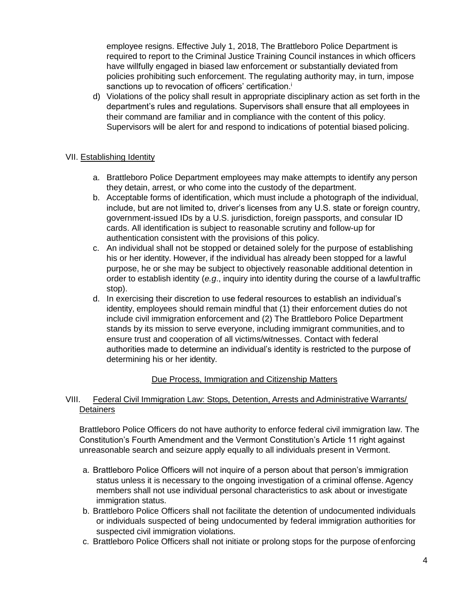employee resigns. Effective July 1, 2018, The Brattleboro Police Department is required to report to the Criminal Justice Training Council instances in which officers have willfully engaged in biased law enforcement or substantially deviated from policies prohibiting such enforcement. The regulating authority may, in turn, impose sanctions up to revocation of officers' certification.<sup>i</sup>

d) Violations of the policy shall result in appropriate disciplinary action as set forth in the department's rules and regulations. Supervisors shall ensure that all employees in their command are familiar and in compliance with the content of this policy. Supervisors will be alert for and respond to indications of potential biased policing.

## VII. Establishing Identity

- a. Brattleboro Police Department employees may make attempts to identify any person they detain, arrest, or who come into the custody of the department.
- b. Acceptable forms of identification, which must include a photograph of the individual, include, but are not limited to, driver's licenses from any U.S. state or foreign country, government-issued IDs by a U.S. jurisdiction, foreign passports, and consular ID cards. All identification is subject to reasonable scrutiny and follow-up for authentication consistent with the provisions of this policy.
- c. An individual shall not be stopped or detained solely for the purpose of establishing his or her identity. However, if the individual has already been stopped for a lawful purpose, he or she may be subject to objectively reasonable additional detention in order to establish identity (*e.g*., inquiry into identity during the course of a lawfultraffic stop).
- d. In exercising their discretion to use federal resources to establish an individual's identity, employees should remain mindful that (1) their enforcement duties do not include civil immigration enforcement and (2) The Brattleboro Police Department stands by its mission to serve everyone, including immigrant communities,and to ensure trust and cooperation of all victims/witnesses. Contact with federal authorities made to determine an individual's identity is restricted to the purpose of determining his or her identity.

## Due Process, Immigration and Citizenship Matters

## VIII. Federal Civil Immigration Law: Stops, Detention, Arrests and Administrative Warrants/ **Detainers**

Brattleboro Police Officers do not have authority to enforce federal civil immigration law. The Constitution's Fourth Amendment and the Vermont Constitution's Article 11 right against unreasonable search and seizure apply equally to all individuals present in Vermont.

- a. Brattleboro Police Officers will not inquire of a person about that person's immigration status unless it is necessary to the ongoing investigation of a criminal offense. Agency members shall not use individual personal characteristics to ask about or investigate immigration status.
- b. Brattleboro Police Officers shall not facilitate the detention of undocumented individuals or individuals suspected of being undocumented by federal immigration authorities for suspected civil immigration violations.
- c. Brattleboro Police Officers shall not initiate or prolong stops for the purpose of enforcing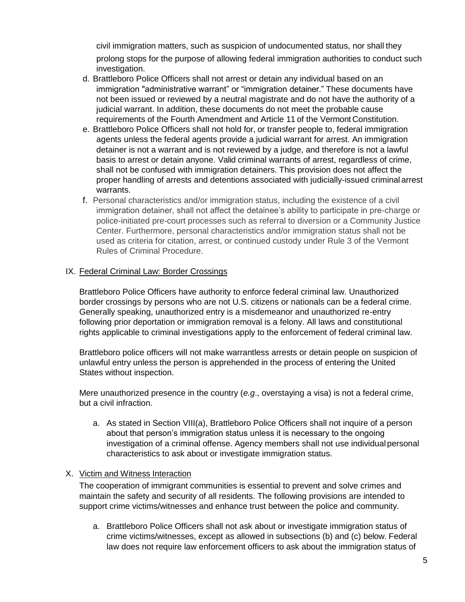civil immigration matters, such as suspicion of undocumented status, nor shall they prolong stops for the purpose of allowing federal immigration authorities to conduct such investigation.

- d. Brattleboro Police Officers shall not arrest or detain any individual based on an immigration "administrative warrant" or "immigration detainer." These documents have not been issued or reviewed by a neutral magistrate and do not have the authority of a judicial warrant. In addition, these documents do not meet the probable cause requirements of the Fourth Amendment and Article 11 of the Vermont Constitution.
- e. Brattleboro Police Officers shall not hold for, or transfer people to, federal immigration agents unless the federal agents provide a judicial warrant for arrest. An immigration detainer is not a warrant and is not reviewed by a judge, and therefore is not a lawful basis to arrest or detain anyone. Valid criminal warrants of arrest, regardless of crime, shall not be confused with immigration detainers. This provision does not affect the proper handling of arrests and detentions associated with judicially-issued criminal arrest warrants.
- f. Personal characteristics and/or immigration status, including the existence of a civil immigration detainer, shall not affect the detainee's ability to participate in pre-charge or police-initiated pre-court processes such as referral to diversion or a Community Justice Center. Furthermore, personal characteristics and/or immigration status shall not be used as criteria for citation, arrest, or continued custody under Rule 3 of the Vermont Rules of Criminal Procedure.

## IX. Federal Criminal Law: Border Crossings

Brattleboro Police Officers have authority to enforce federal criminal law. Unauthorized border crossings by persons who are not U.S. citizens or nationals can be a federal crime. Generally speaking, unauthorized entry is a misdemeanor and unauthorized re-entry following prior deportation or immigration removal is a felony. All laws and constitutional rights applicable to criminal investigations apply to the enforcement of federal criminal law.

Brattleboro police officers will not make warrantless arrests or detain people on suspicion of unlawful entry unless the person is apprehended in the process of entering the United States without inspection.

Mere unauthorized presence in the country (*e.g*., overstaying a visa) is not a federal crime, but a civil infraction.

a. As stated in Section VIII(a), Brattleboro Police Officers shall not inquire of a person about that person's immigration status unless it is necessary to the ongoing investigation of a criminal offense. Agency members shall not use individual personal characteristics to ask about or investigate immigration status.

#### X. Victim and Witness Interaction

The cooperation of immigrant communities is essential to prevent and solve crimes and maintain the safety and security of all residents. The following provisions are intended to support crime victims/witnesses and enhance trust between the police and community.

a. Brattleboro Police Officers shall not ask about or investigate immigration status of crime victims/witnesses, except as allowed in subsections (b) and (c) below. Federal law does not require law enforcement officers to ask about the immigration status of